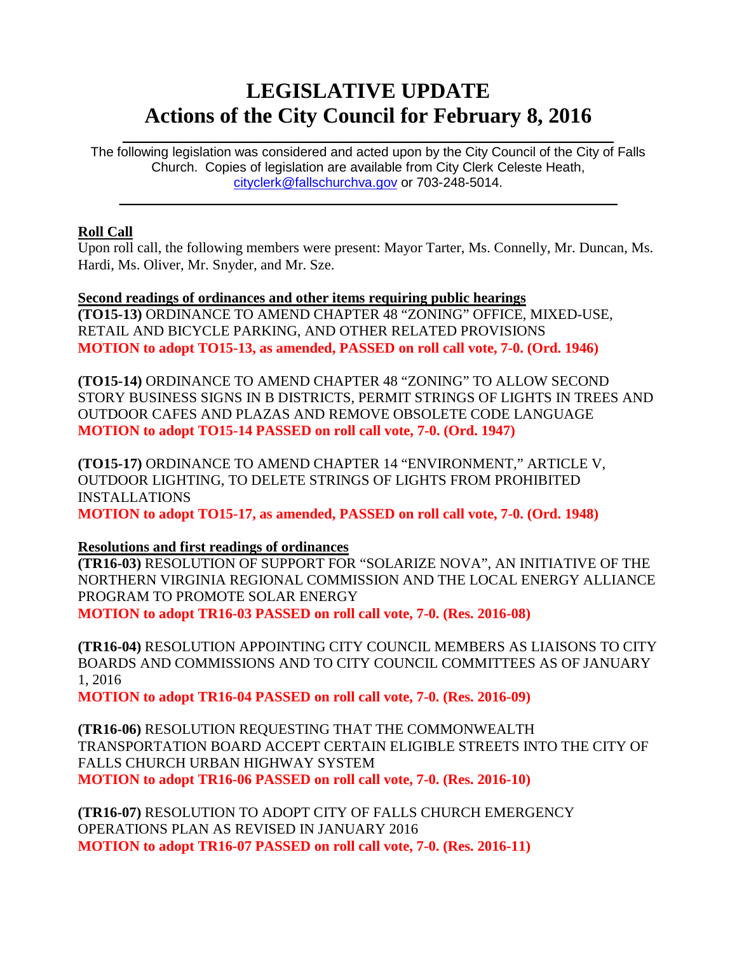# **LEGISLATIVE UPDATE Actions of the City Council for February 8, 2016**

The following legislation was considered and acted upon by the City Council of the City of Falls Church. Copies of legislation are available from City Clerk Celeste Heath, [cityclerk@fallschurchva.gov](mailto:cityclerk@fallschurchva.gov) or 703-248-5014.

 $\mathcal{L}_\text{max}$  and  $\mathcal{L}_\text{max}$  and  $\mathcal{L}_\text{max}$  and  $\mathcal{L}_\text{max}$  and  $\mathcal{L}_\text{max}$  and  $\mathcal{L}_\text{max}$ 

 $\mathcal{L}_\text{max}$  and  $\mathcal{L}_\text{max}$  and  $\mathcal{L}_\text{max}$  and  $\mathcal{L}_\text{max}$  and  $\mathcal{L}_\text{max}$  and  $\mathcal{L}_\text{max}$ 

#### **Roll Call**

Upon roll call, the following members were present: Mayor Tarter, Ms. Connelly, Mr. Duncan, Ms. Hardi, Ms. Oliver, Mr. Snyder, and Mr. Sze.

**Second readings of ordinances and other items requiring public hearings (TO15-13)** ORDINANCE TO AMEND CHAPTER 48 "ZONING" OFFICE, MIXED-USE, RETAIL AND BICYCLE PARKING, AND OTHER RELATED PROVISIONS **MOTION to adopt TO15-13, as amended, PASSED on roll call vote, 7-0. (Ord. 1946)**

**(TO15-14)** ORDINANCE TO AMEND CHAPTER 48 "ZONING" TO ALLOW SECOND STORY BUSINESS SIGNS IN B DISTRICTS, PERMIT STRINGS OF LIGHTS IN TREES AND OUTDOOR CAFES AND PLAZAS AND REMOVE OBSOLETE CODE LANGUAGE **MOTION to adopt TO15-14 PASSED on roll call vote, 7-0. (Ord. 1947)**

**(TO15-17)** ORDINANCE TO AMEND CHAPTER 14 "ENVIRONMENT," ARTICLE V, OUTDOOR LIGHTING, TO DELETE STRINGS OF LIGHTS FROM PROHIBITED INSTALLATIONS

**MOTION to adopt TO15-17, as amended, PASSED on roll call vote, 7-0. (Ord. 1948)**

## **Resolutions and first readings of ordinances**

**(TR16-03)** RESOLUTION OF SUPPORT FOR "SOLARIZE NOVA", AN INITIATIVE OF THE NORTHERN VIRGINIA REGIONAL COMMISSION AND THE LOCAL ENERGY ALLIANCE PROGRAM TO PROMOTE SOLAR ENERGY **MOTION to adopt TR16-03 PASSED on roll call vote, 7-0. (Res. 2016-08)**

**(TR16-04)** RESOLUTION APPOINTING CITY COUNCIL MEMBERS AS LIAISONS TO CITY BOARDS AND COMMISSIONS AND TO CITY COUNCIL COMMITTEES AS OF JANUARY 1, 2016

**MOTION to adopt TR16-04 PASSED on roll call vote, 7-0. (Res. 2016-09)**

**(TR16-06)** RESOLUTION REQUESTING THAT THE COMMONWEALTH TRANSPORTATION BOARD ACCEPT CERTAIN ELIGIBLE STREETS INTO THE CITY OF FALLS CHURCH URBAN HIGHWAY SYSTEM **MOTION to adopt TR16-06 PASSED on roll call vote, 7-0. (Res. 2016-10)**

**(TR16-07)** RESOLUTION TO ADOPT CITY OF FALLS CHURCH EMERGENCY OPERATIONS PLAN AS REVISED IN JANUARY 2016 **MOTION to adopt TR16-07 PASSED on roll call vote, 7-0. (Res. 2016-11)**